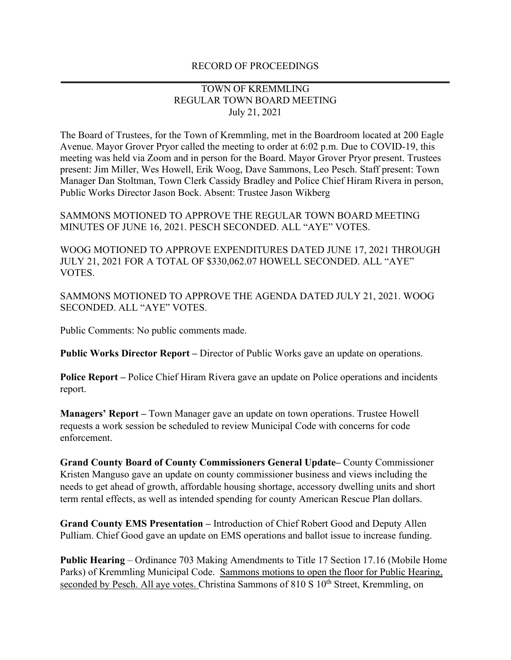## RECORD OF PROCEEDINGS **\_\_\_\_\_\_\_\_\_\_\_\_\_\_\_\_\_\_\_\_\_\_\_\_\_\_\_\_\_\_\_\_\_\_\_\_\_\_\_\_\_\_\_\_\_\_\_\_\_\_\_\_\_\_\_\_\_\_\_\_\_\_\_\_\_\_\_\_\_\_\_\_\_\_\_\_\_\_\_**

## TOWN OF KREMMLING REGULAR TOWN BOARD MEETING July 21, 2021

The Board of Trustees, for the Town of Kremmling, met in the Boardroom located at 200 Eagle Avenue. Mayor Grover Pryor called the meeting to order at 6:02 p.m. Due to COVID-19, this meeting was held via Zoom and in person for the Board. Mayor Grover Pryor present. Trustees present: Jim Miller, Wes Howell, Erik Woog, Dave Sammons, Leo Pesch. Staff present: Town Manager Dan Stoltman, Town Clerk Cassidy Bradley and Police Chief Hiram Rivera in person, Public Works Director Jason Bock. Absent: Trustee Jason Wikberg

SAMMONS MOTIONED TO APPROVE THE REGULAR TOWN BOARD MEETING MINUTES OF JUNE 16, 2021. PESCH SECONDED. ALL "AYE" VOTES.

WOOG MOTIONED TO APPROVE EXPENDITURES DATED JUNE 17, 2021 THROUGH JULY 21, 2021 FOR A TOTAL OF \$330,062.07 HOWELL SECONDED. ALL "AYE" VOTES.

SAMMONS MOTIONED TO APPROVE THE AGENDA DATED JULY 21, 2021. WOOG SECONDED. ALL "AYE" VOTES.

Public Comments: No public comments made.

**Public Works Director Report –** Director of Public Works gave an update on operations.

**Police Report –** Police Chief Hiram Rivera gave an update on Police operations and incidents report.

**Managers' Report –** Town Manager gave an update on town operations. Trustee Howell requests a work session be scheduled to review Municipal Code with concerns for code enforcement.

**Grand County Board of County Commissioners General Update–** County Commissioner Kristen Manguso gave an update on county commissioner business and views including the needs to get ahead of growth, affordable housing shortage, accessory dwelling units and short term rental effects, as well as intended spending for county American Rescue Plan dollars.

**Grand County EMS Presentation –** Introduction of Chief Robert Good and Deputy Allen Pulliam. Chief Good gave an update on EMS operations and ballot issue to increase funding.

**Public Hearing** – Ordinance 703 Making Amendments to Title 17 Section 17.16 (Mobile Home Parks) of Kremmling Municipal Code. Sammons motions to open the floor for Public Hearing, seconded by Pesch. All aye votes. Christina Sammons of 810 S 10<sup>th</sup> Street, Kremmling, on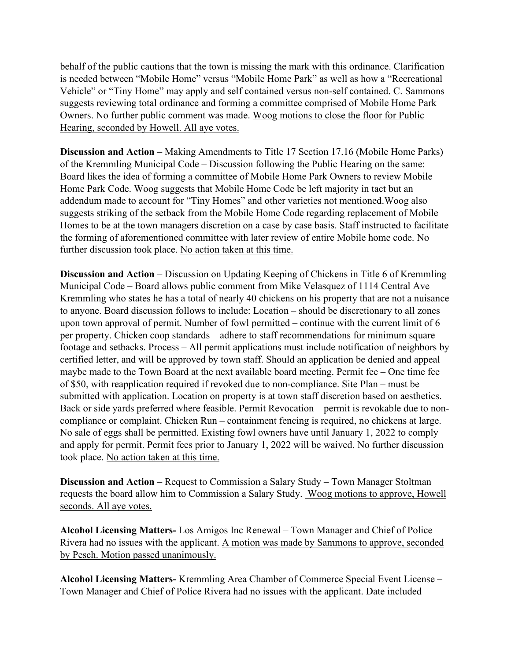behalf of the public cautions that the town is missing the mark with this ordinance. Clarification is needed between "Mobile Home" versus "Mobile Home Park" as well as how a "Recreational Vehicle" or "Tiny Home" may apply and self contained versus non-self contained. C. Sammons suggests reviewing total ordinance and forming a committee comprised of Mobile Home Park Owners. No further public comment was made. Woog motions to close the floor for Public Hearing, seconded by Howell. All aye votes.

**Discussion and Action** – Making Amendments to Title 17 Section 17.16 (Mobile Home Parks) of the Kremmling Municipal Code – Discussion following the Public Hearing on the same: Board likes the idea of forming a committee of Mobile Home Park Owners to review Mobile Home Park Code. Woog suggests that Mobile Home Code be left majority in tact but an addendum made to account for "Tiny Homes" and other varieties not mentioned.Woog also suggests striking of the setback from the Mobile Home Code regarding replacement of Mobile Homes to be at the town managers discretion on a case by case basis. Staff instructed to facilitate the forming of aforementioned committee with later review of entire Mobile home code. No further discussion took place. No action taken at this time.

**Discussion and Action** – Discussion on Updating Keeping of Chickens in Title 6 of Kremmling Municipal Code – Board allows public comment from Mike Velasquez of 1114 Central Ave Kremmling who states he has a total of nearly 40 chickens on his property that are not a nuisance to anyone. Board discussion follows to include: Location – should be discretionary to all zones upon town approval of permit. Number of fowl permitted – continue with the current limit of 6 per property. Chicken coop standards – adhere to staff recommendations for minimum square footage and setbacks. Process – All permit applications must include notification of neighbors by certified letter, and will be approved by town staff. Should an application be denied and appeal maybe made to the Town Board at the next available board meeting. Permit fee – One time fee of \$50, with reapplication required if revoked due to non-compliance. Site Plan – must be submitted with application. Location on property is at town staff discretion based on aesthetics. Back or side yards preferred where feasible. Permit Revocation – permit is revokable due to noncompliance or complaint. Chicken Run – containment fencing is required, no chickens at large. No sale of eggs shall be permitted. Existing fowl owners have until January 1, 2022 to comply and apply for permit. Permit fees prior to January 1, 2022 will be waived. No further discussion took place. No action taken at this time.

**Discussion and Action** – Request to Commission a Salary Study – Town Manager Stoltman requests the board allow him to Commission a Salary Study. Woog motions to approve, Howell seconds. All aye votes.

**Alcohol Licensing Matters-** Los Amigos Inc Renewal – Town Manager and Chief of Police Rivera had no issues with the applicant. A motion was made by Sammons to approve, seconded by Pesch. Motion passed unanimously.

**Alcohol Licensing Matters-** Kremmling Area Chamber of Commerce Special Event License – Town Manager and Chief of Police Rivera had no issues with the applicant. Date included